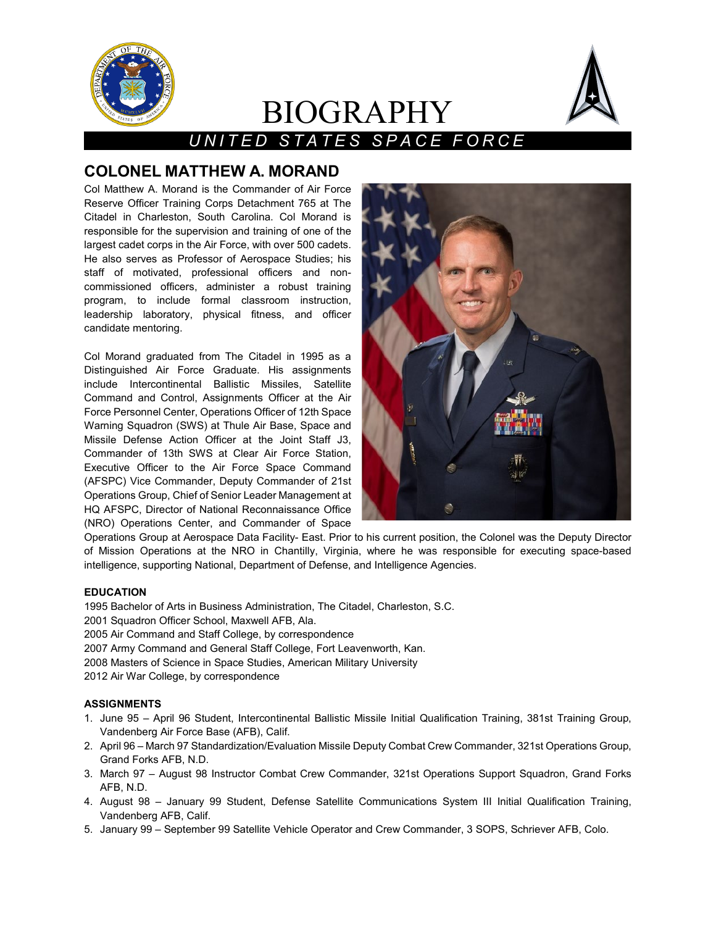

# BIOGRAPHY



# *UNITED STATES SPACE FORCE*

# **COLONEL MATTHEW A. MORAND**

Col Matthew A. Morand is the Commander of Air Force Reserve Officer Training Corps Detachment 765 at The Citadel in Charleston, South Carolina. Col Morand is responsible for the supervision and training of one of the largest cadet corps in the Air Force, with over 500 cadets. He also serves as Professor of Aerospace Studies; his staff of motivated, professional officers and noncommissioned officers, administer a robust training program, to include formal classroom instruction, leadership laboratory, physical fitness, and officer candidate mentoring.

Col Morand graduated from The Citadel in 1995 as a Distinguished Air Force Graduate. His assignments include Intercontinental Ballistic Missiles, Satellite Command and Control, Assignments Officer at the Air Force Personnel Center, Operations Officer of 12th Space Warning Squadron (SWS) at Thule Air Base, Space and Missile Defense Action Officer at the Joint Staff J3, Commander of 13th SWS at Clear Air Force Station, Executive Officer to the Air Force Space Command (AFSPC) Vice Commander, Deputy Commander of 21st Operations Group, Chief of Senior Leader Management at HQ AFSPC, Director of National Reconnaissance Office (NRO) Operations Center, and Commander of Space



Operations Group at Aerospace Data Facility- East. Prior to his current position, the Colonel was the Deputy Director of Mission Operations at the NRO in Chantilly, Virginia, where he was responsible for executing space-based intelligence, supporting National, Department of Defense, and Intelligence Agencies.

## **EDUCATION**

1995 Bachelor of Arts in Business Administration, The Citadel, Charleston, S.C. 2001 Squadron Officer School, Maxwell AFB, Ala. 2005 Air Command and Staff College, by correspondence 2007 Army Command and General Staff College, Fort Leavenworth, Kan.

2008 Masters of Science in Space Studies, American Military University

2012 Air War College, by correspondence

## **ASSIGNMENTS**

- 1. June 95 April 96 Student, Intercontinental Ballistic Missile Initial Qualification Training, 381st Training Group, Vandenberg Air Force Base (AFB), Calif.
- 2. April 96 March 97 Standardization/Evaluation Missile Deputy Combat Crew Commander, 321st Operations Group, Grand Forks AFB, N.D.
- 3. March 97 August 98 Instructor Combat Crew Commander, 321st Operations Support Squadron, Grand Forks AFB, N.D.
- 4. August 98 January 99 Student, Defense Satellite Communications System III Initial Qualification Training, Vandenberg AFB, Calif.
- 5. January 99 September 99 Satellite Vehicle Operator and Crew Commander, 3 SOPS, Schriever AFB, Colo.